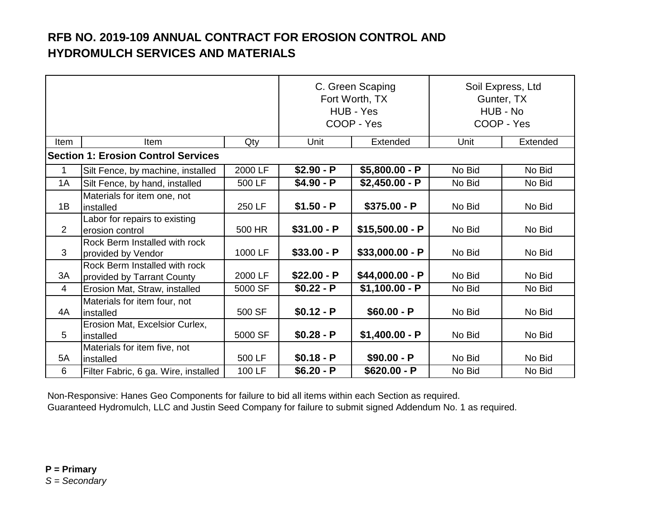|                |                                                             | C. Green Scaping<br>Fort Worth, TX<br>HUB - Yes<br>COOP - Yes |              | Soil Express, Ltd<br>Gunter, TX<br>HUB - No<br>COOP - Yes |        |          |  |  |  |
|----------------|-------------------------------------------------------------|---------------------------------------------------------------|--------------|-----------------------------------------------------------|--------|----------|--|--|--|
| Item           | Item                                                        | Qty                                                           | Unit         | Extended                                                  | Unit   | Extended |  |  |  |
|                | <b>Section 1: Erosion Control Services</b>                  |                                                               |              |                                                           |        |          |  |  |  |
| 1              | Silt Fence, by machine, installed                           | 2000 LF                                                       | $$2.90 - P$  | $$5,800.00 - P$                                           | No Bid | No Bid   |  |  |  |
| 1A             | Silt Fence, by hand, installed                              | 500 LF                                                        | $$4.90 - P$  | $$2,450.00 - P$                                           | No Bid | No Bid   |  |  |  |
| 1B             | Materials for item one, not<br>installed                    | 250 LF                                                        | $$1.50 - P$  | $$375.00 - P$                                             | No Bid | No Bid   |  |  |  |
| $\overline{2}$ | Labor for repairs to existing<br>erosion control            | 500 HR                                                        | $$31.00 - P$ | $$15,500.00 - P$                                          | No Bid | No Bid   |  |  |  |
| 3              | Rock Berm Installed with rock<br>provided by Vendor         | 1000 LF                                                       | $$33.00 - P$ | $$33,000.00 - P$                                          | No Bid | No Bid   |  |  |  |
| 3A             | Rock Berm Installed with rock<br>provided by Tarrant County | 2000 LF                                                       | $$22.00 - P$ | $$44,000.00 - P$                                          | No Bid | No Bid   |  |  |  |
| $\overline{4}$ | Erosion Mat, Straw, installed                               | 5000 SF                                                       | $$0.22 - P$  | $$1,100.00 - P$                                           | No Bid | No Bid   |  |  |  |
| 4A             | Materials for item four, not<br>installed                   | 500 SF                                                        | $$0.12 - P$  | $$60.00 - P$                                              | No Bid | No Bid   |  |  |  |
| 5              | Erosion Mat, Excelsior Curlex,<br>installed                 | 5000 SF                                                       | $$0.28 - P$  | $$1,400.00 - P$                                           | No Bid | No Bid   |  |  |  |
| 5A             | Materials for item five, not<br>installed                   | 500 LF                                                        | $$0.18 - P$  | $$90.00 - P$                                              | No Bid | No Bid   |  |  |  |
| 6              | Filter Fabric, 6 ga. Wire, installed                        | 100 LF                                                        | $$6.20 - P$  | $$620.00 - P$                                             | No Bid | No Bid   |  |  |  |

Non-Responsive: Hanes Geo Components for failure to bid all items within each Section as required. Guaranteed Hydromulch, LLC and Justin Seed Company for failure to submit signed Addendum No. 1 as required.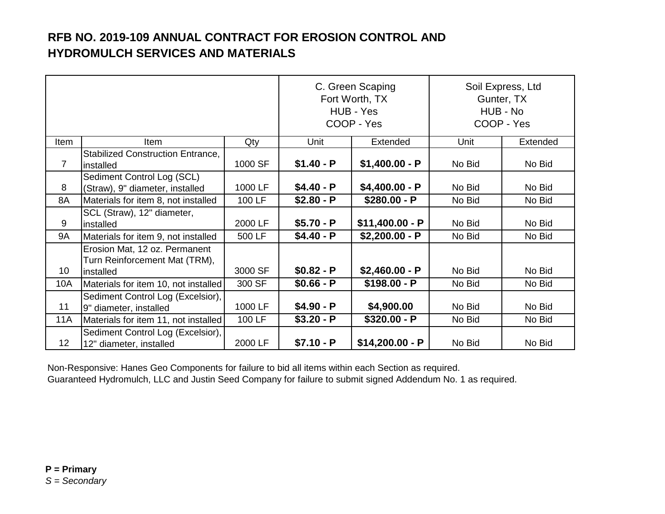|                 |                                                                             | C. Green Scaping<br>Fort Worth, TX<br>HUB - Yes<br>COOP - Yes |             | Soil Express, Ltd<br>Gunter, TX<br>HUB - No<br>COOP - Yes |        |          |
|-----------------|-----------------------------------------------------------------------------|---------------------------------------------------------------|-------------|-----------------------------------------------------------|--------|----------|
| ltem            | <b>Item</b>                                                                 | Qty                                                           | Unit        | Extended                                                  | Unit   | Extended |
| $\overline{7}$  | <b>Stabilized Construction Entrance,</b><br>installed                       | 1000 SF                                                       | $$1.40 - P$ | $$1,400.00 - P$                                           | No Bid | No Bid   |
| 8               | Sediment Control Log (SCL)<br>(Straw), 9" diameter, installed               | 1000 LF                                                       | $$4.40 - P$ | $$4,400.00 - P$                                           | No Bid | No Bid   |
| 8A              | Materials for item 8, not installed                                         | 100 LF                                                        | $$2.80 - P$ | $$280.00 - P$                                             | No Bid | No Bid   |
| 9               | SCL (Straw), 12" diameter,<br>installed                                     | 2000 LF                                                       | $$5.70 - P$ | $$11,400.00 - P$                                          | No Bid | No Bid   |
| <b>9A</b>       | Materials for item 9, not installed                                         | 500 LF                                                        | $$4.40 - P$ | $$2,200.00 - P$                                           | No Bid | No Bid   |
| 10              | Erosion Mat, 12 oz. Permanent<br>Turn Reinforcement Mat (TRM),<br>installed | 3000 SF                                                       | $$0.82 - P$ | $$2,460.00 - P$                                           | No Bid | No Bid   |
| 10A             | Materials for item 10, not installed                                        | 300 SF                                                        | $$0.66 - P$ | $$198.00 - P$                                             | No Bid | No Bid   |
| 11              | Sediment Control Log (Excelsior),<br>9" diameter, installed                 | 1000 LF                                                       | $$4.90 - P$ | \$4,900.00                                                | No Bid | No Bid   |
| <b>11A</b>      | Materials for item 11, not installed                                        | 100 LF                                                        | $$3.20 - P$ | $$320.00 - P$                                             | No Bid | No Bid   |
| 12 <sub>2</sub> | Sediment Control Log (Excelsior),<br>12" diameter, installed                | 2000 LF                                                       | $$7.10 - P$ | $$14,200.00 - P$                                          | No Bid | No Bid   |

Non-Responsive: Hanes Geo Components for failure to bid all items within each Section as required. Guaranteed Hydromulch, LLC and Justin Seed Company for failure to submit signed Addendum No. 1 as required.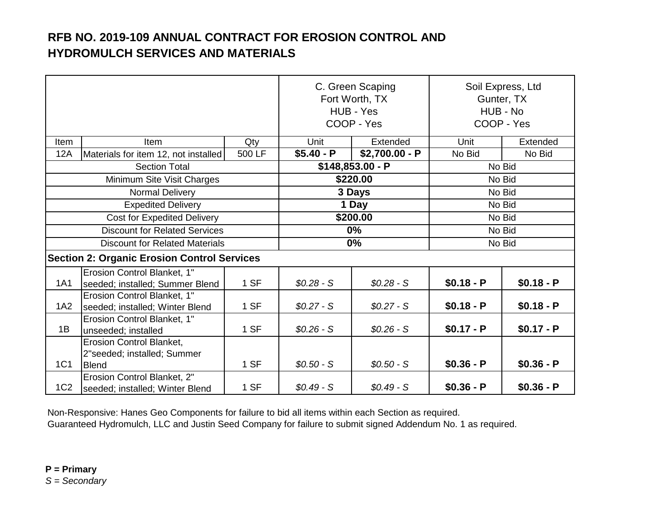|                                      |                                                                         | C. Green Scaping<br>Fort Worth, TX<br>HUB - Yes<br>COOP - Yes |             | Soil Express, Ltd<br>Gunter, TX<br>HUB - No<br>COOP - Yes |             |             |
|--------------------------------------|-------------------------------------------------------------------------|---------------------------------------------------------------|-------------|-----------------------------------------------------------|-------------|-------------|
| Item                                 | Item                                                                    | Qty                                                           | Unit        | Extended                                                  | Unit        | Extended    |
| <b>12A</b>                           | Materials for item 12, not installed                                    | 500 LF                                                        | $$5.40 - P$ | $$2,700.00 - P$                                           | No Bid      | No Bid      |
|                                      | <b>Section Total</b>                                                    |                                                               |             | $$148,853.00 - P$                                         |             | No Bid      |
|                                      | Minimum Site Visit Charges                                              |                                                               |             | \$220.00                                                  |             | No Bid      |
| Normal Delivery                      |                                                                         |                                                               |             | 3 Days                                                    |             | No Bid      |
| <b>Expedited Delivery</b>            |                                                                         |                                                               | 1 Day       |                                                           | No Bid      |             |
| <b>Cost for Expedited Delivery</b>   |                                                                         |                                                               | \$200.00    |                                                           | No Bid      |             |
| <b>Discount for Related Services</b> |                                                                         |                                                               |             | $0\%$                                                     |             | No Bid      |
|                                      | <b>Discount for Related Materials</b>                                   |                                                               |             | $0\%$                                                     |             | No Bid      |
|                                      | <b>Section 2: Organic Erosion Control Services</b>                      |                                                               |             |                                                           |             |             |
| <b>1A1</b>                           | Erosion Control Blanket, 1"<br>seeded; installed; Summer Blend          | 1 SF                                                          | $$0.28-S$   | $$0.28-S$                                                 | $$0.18 - P$ | $$0.18 - P$ |
| 1A2                                  | Erosion Control Blanket, 1"<br>seeded; installed; Winter Blend          | 1 SF                                                          | $$0.27-S$   | $$0.27-S$                                                 | $$0.18 - P$ | $$0.18 - P$ |
| 1B                                   | Erosion Control Blanket, 1"<br>unseeded; installed                      | 1 SF                                                          | $$0.26-S$   | $$0.26-S$                                                 | $$0.17 - P$ | $$0.17 - P$ |
| 1C1                                  | Erosion Control Blanket,<br>2"seeded; installed; Summer<br><b>Blend</b> | 1 SF                                                          | $$0.50 - S$ | $$0.50-S$                                                 | $$0.36 - P$ | $$0.36 - P$ |
| 1C <sub>2</sub>                      | Erosion Control Blanket, 2"<br>seeded; installed; Winter Blend          | 1 SF                                                          | $$0.49-S$   | $$0.49-S$                                                 | $$0.36 - P$ | $$0.36 - P$ |

Non-Responsive: Hanes Geo Components for failure to bid all items within each Section as required.

Guaranteed Hydromulch, LLC and Justin Seed Company for failure to submit signed Addendum No. 1 as required.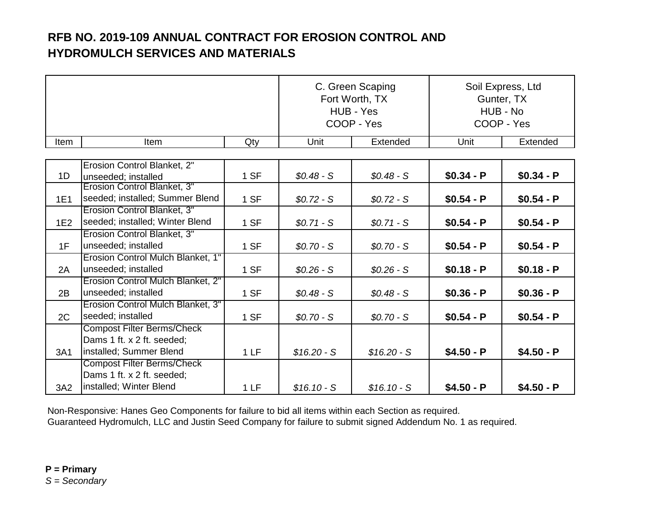|      |                                                          | C. Green Scaping<br>Fort Worth, TX<br>HUB - Yes<br>COOP - Yes |              | Soil Express, Ltd<br>Gunter, TX<br>HUB - No<br>COOP - Yes |             |             |
|------|----------------------------------------------------------|---------------------------------------------------------------|--------------|-----------------------------------------------------------|-------------|-------------|
| Item | Item                                                     | Qty                                                           | Unit         | Extended                                                  | Unit        | Extended    |
|      |                                                          |                                                               |              |                                                           |             |             |
|      | Erosion Control Blanket, 2"                              |                                                               |              |                                                           |             |             |
| 1D   | unseeded; installed                                      | 1 SF                                                          | $$0.48-S$    | $$0.48-S$                                                 | $$0.34 - P$ | $$0.34 - P$ |
|      | Erosion Control Blanket, 3"                              |                                                               |              |                                                           |             |             |
| 1E1  | seeded; installed; Summer Blend                          | 1 SF                                                          | $$0.72-S$    | $$0.72-S$                                                 | $$0.54 - P$ | $$0.54 - P$ |
|      | Erosion Control Blanket, 3"                              |                                                               |              |                                                           |             |             |
| 1E2  | seeded; installed; Winter Blend                          | 1 SF                                                          | $$0.71-S$    | $$0.71-S$                                                 | $$0.54 - P$ | $$0.54 - P$ |
|      | Erosion Control Blanket, 3"                              |                                                               |              |                                                           |             |             |
| 1F   | unseeded; installed                                      | 1 SF                                                          | $$0.70-S$    | $$0.70-S$                                                 | $$0.54 - P$ | $$0.54 - P$ |
|      | Erosion Control Mulch Blanket, 1"<br>unseeded; installed |                                                               |              |                                                           |             |             |
| 2A   |                                                          | 1 SF                                                          | $$0.26-S$    | $$0.26-S$                                                 | $$0.18 - P$ | $$0.18 - P$ |
|      | Erosion Control Mulch Blanket, 2"                        |                                                               |              |                                                           |             |             |
| 2B   | unseeded; installed                                      | 1 SF                                                          | $$0.48-S$    | $$0.48-S$                                                 | $$0.36 - P$ | $$0.36 - P$ |
|      | Erosion Control Mulch Blanket, 3"                        |                                                               |              |                                                           |             |             |
| 2C   | seeded; installed                                        | 1 SF                                                          | $$0.70-S$    | $$0.70-S$                                                 | $$0.54 - P$ | $$0.54 - P$ |
|      | <b>Compost Filter Berms/Check</b>                        |                                                               |              |                                                           |             |             |
|      | Dams 1 ft. x 2 ft. seeded;                               |                                                               |              |                                                           |             |             |
| 3A1  | installed; Summer Blend                                  | 1LF                                                           | $$16.20 - S$ | $$16.20 - S$                                              | $$4.50 - P$ | $$4.50 - P$ |
|      | <b>Compost Filter Berms/Check</b>                        |                                                               |              |                                                           |             |             |
|      | Dams 1 ft. x 2 ft. seeded;                               |                                                               |              |                                                           |             |             |
| 3A2  | installed; Winter Blend                                  | 1LF                                                           | $$16.10-S$   | $$16.10-S$                                                | $$4.50 - P$ | $$4.50 - P$ |

Non-Responsive: Hanes Geo Components for failure to bid all items within each Section as required.

Guaranteed Hydromulch, LLC and Justin Seed Company for failure to submit signed Addendum No. 1 as required.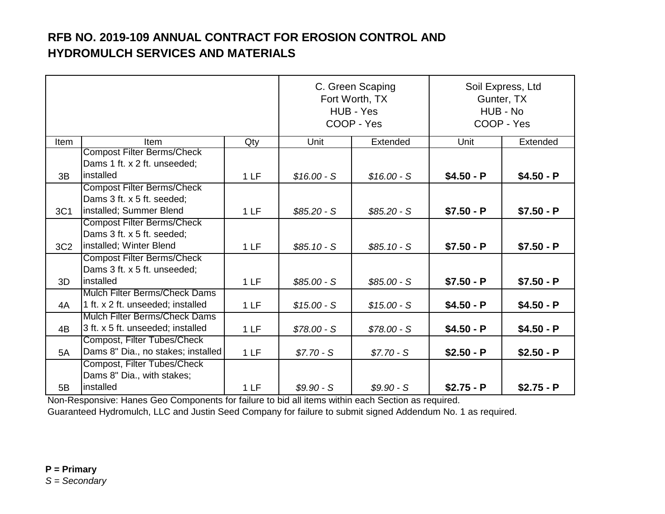|                 |                                                                                            |     | C. Green Scaping<br>Fort Worth, TX<br>HUB - Yes<br>COOP - Yes |              | Soil Express, Ltd<br>Gunter, TX<br>HUB - No<br>COOP - Yes |             |
|-----------------|--------------------------------------------------------------------------------------------|-----|---------------------------------------------------------------|--------------|-----------------------------------------------------------|-------------|
| Item            | Item                                                                                       | Qty | Unit                                                          | Extended     | Unit                                                      | Extended    |
| 3B              | <b>Compost Filter Berms/Check</b><br>Dams 1 ft. x 2 ft. unseeded;<br>installed             | 1LF | $$16.00 - S$                                                  |              | $$4.50 - P$                                               | $$4.50 - P$ |
|                 | <b>Compost Filter Berms/Check</b>                                                          |     |                                                               | $$16.00 - S$ |                                                           |             |
| 3C1             | Dams 3 ft. x 5 ft. seeded;<br>installed; Summer Blend                                      | 1LF | $$85.20-S$                                                    | $$85.20-S$   | $$7.50 - P$                                               | $$7.50 - P$ |
| 3C <sub>2</sub> | <b>Compost Filter Berms/Check</b><br>Dams 3 ft. x 5 ft. seeded;<br>installed; Winter Blend | 1LF | $$85.10-S$                                                    | $$85.10-S$   | $$7.50 - P$                                               | $$7.50 - P$ |
|                 | <b>Compost Filter Berms/Check</b><br>Dams 3 ft. x 5 ft. unseeded;                          |     |                                                               |              |                                                           |             |
| 3D              | installed                                                                                  | 1LF | $$85.00 - S$                                                  | $$85.00 - S$ | $$7.50 - P$                                               | $$7.50 - P$ |
| 4A              | Mulch Filter Berms/Check Dams<br>1 ft. x 2 ft. unseeded; installed                         | 1LF | $$15.00 - S$                                                  | $$15.00 - S$ | $$4.50 - P$                                               | $$4.50 - P$ |
| 4B              | <b>Mulch Filter Berms/Check Dams</b><br>3 ft. x 5 ft. unseeded; installed                  | 1LF | $$78.00 - S$                                                  | $$78.00 - S$ | $$4.50 - P$                                               | $$4.50 - P$ |
| 5A              | Compost, Filter Tubes/Check<br>Dams 8" Dia., no stakes; installed                          | 1LF | $$7.70-S$                                                     | $$7.70-S$    | $$2.50 - P$                                               | $$2.50 - P$ |
| 5B              | Compost, Filter Tubes/Check<br>Dams 8" Dia., with stakes;<br>installed                     | 1LF | $$9.90-S$                                                     | $$9.90-S$    | $$2.75 - P$                                               | $$2.75 - P$ |

Guaranteed Hydromulch, LLC and Justin Seed Company for failure to submit signed Addendum No. 1 as required. Non-Responsive: Hanes Geo Components for failure to bid all items within each Section as required.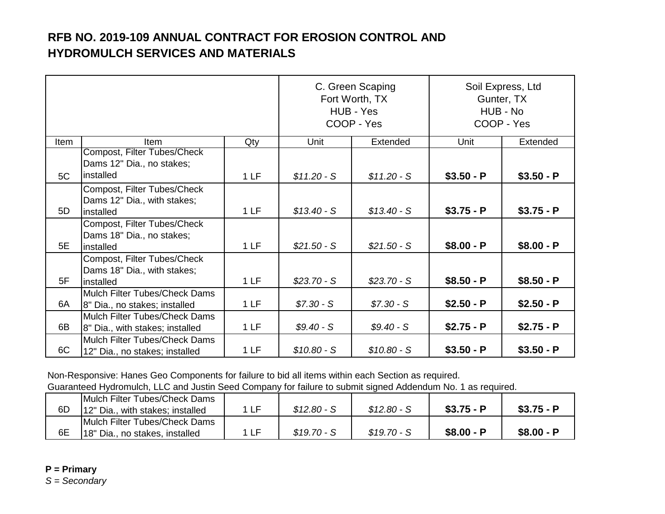|      |                                                                          | C. Green Scaping<br>Fort Worth, TX<br>HUB - Yes<br>COOP - Yes |              | Soil Express, Ltd<br>Gunter, TX<br>HUB - No<br>COOP - Yes |             |             |
|------|--------------------------------------------------------------------------|---------------------------------------------------------------|--------------|-----------------------------------------------------------|-------------|-------------|
| Item | <b>Item</b>                                                              | Qty                                                           | Unit         | Extended                                                  | Unit        | Extended    |
| 5C   | Compost, Filter Tubes/Check<br>Dams 12" Dia., no stakes;<br>linstalled   | 1LF                                                           | $$11.20 - S$ | $$11.20-S$                                                | $$3.50 - P$ | $$3.50 - P$ |
| 5D   | Compost, Filter Tubes/Check<br>Dams 12" Dia., with stakes;<br>linstalled | 1LF                                                           | $$13.40-S$   | $$13.40-S$                                                | $$3.75 - P$ | $$3.75 - P$ |
| 5E   | Compost, Filter Tubes/Check<br>Dams 18" Dia., no stakes;<br>installed    | 1LF                                                           | $$21.50 - S$ | $$21.50-S$                                                | $$8.00 - P$ | $$8.00 - P$ |
| 5F   | Compost, Filter Tubes/Check<br>Dams 18" Dia., with stakes;<br>linstalled | 1LF                                                           | $$23.70-S$   | $$23.70-S$                                                | $$8.50 - P$ | $$8.50 - P$ |
| 6A   | Mulch Filter Tubes/Check Dams<br>8" Dia., no stakes; installed           | 1LF                                                           | $$7.30-S$    | $$7.30 - S$                                               | $$2.50 - P$ | $$2.50 - P$ |
| 6B   | Mulch Filter Tubes/Check Dams<br>8" Dia., with stakes; installed         | 1LF                                                           | $$9.40-S$    | $$9.40-S$                                                 | $$2.75 - P$ | $$2.75 - P$ |
| 6C   | Mulch Filter Tubes/Check Dams<br>12" Dia., no stakes; installed          | 1LF                                                           | $$10.80 - S$ | $$10.80 - S$                                              | $$3.50 - P$ | $$3.50 - P$ |

Non-Responsive: Hanes Geo Components for failure to bid all items within each Section as required.

Guaranteed Hydromulch, LLC and Justin Seed Company for failure to submit signed Addendum No. 1 as required.

| 6D | <b>IMulch Filter Tubes/Check Dams</b><br>12" Dia., with stakes; installed | 1 I F | $$12.80 - S$ | $$12.80-S$ | $$3.75 - P$ | $$3.75 - P$ |
|----|---------------------------------------------------------------------------|-------|--------------|------------|-------------|-------------|
| 6E | Mulch Filter Tubes/Check Dams<br>18" Dia., no stakes, installed           | 1 I F | $$19.70-S$   | $$19.70-S$ | $$8.00 - P$ | $$8.00 - P$ |

**P = Primary**

*S = Secondary*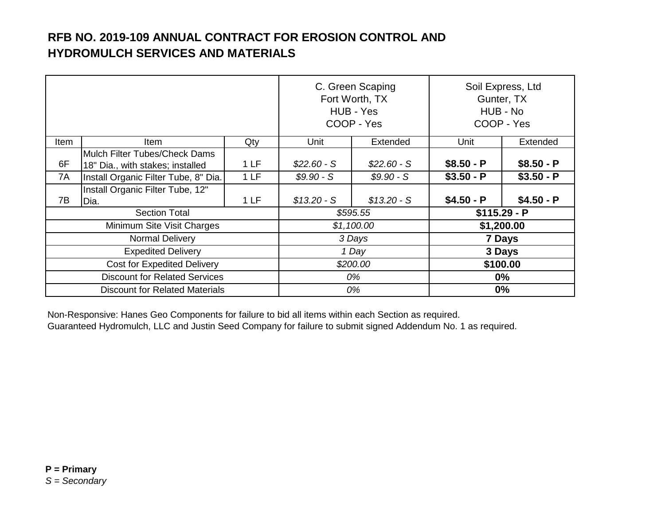|                                      |                                                                   | C. Green Scaping<br>Fort Worth, TX<br>HUB - Yes<br>COOP - Yes |              | Soil Express, Ltd<br>Gunter, TX<br>HUB - No<br>COOP - Yes |               |             |
|--------------------------------------|-------------------------------------------------------------------|---------------------------------------------------------------|--------------|-----------------------------------------------------------|---------------|-------------|
| Item                                 | <b>Item</b>                                                       | Qty                                                           | Unit         | Extended                                                  | Unit          | Extended    |
| 6F                                   | Mulch Filter Tubes/Check Dams<br>18" Dia., with stakes; installed | 1LF                                                           | $$22.60-S$   | $$22.60-S$                                                | $$8.50 - P$   | $$8.50 - P$ |
| 7A                                   | Install Organic Filter Tube, 8" Dia.                              | 1LF                                                           | $$9.90-S$    | $$9.90-S$                                                 | $$3.50 - P$   | $$3.50 - P$ |
| 7B                                   | Install Organic Filter Tube, 12"<br>Dia.                          | 1LF                                                           | $$13.20 - S$ | $$13.20 - S$                                              | $$4.50 - P$   | $$4.50 - P$ |
|                                      | <b>Section Total</b>                                              |                                                               | \$595.55     |                                                           | $$115.29 - P$ |             |
|                                      | Minimum Site Visit Charges                                        |                                                               | \$1,100.00   |                                                           | \$1,200.00    |             |
|                                      | <b>Normal Delivery</b>                                            |                                                               |              | 3 Days                                                    | 7 Days        |             |
|                                      | <b>Expedited Delivery</b>                                         |                                                               |              | 1 Day                                                     | 3 Days        |             |
|                                      | <b>Cost for Expedited Delivery</b>                                |                                                               |              | \$200.00                                                  | \$100.00      |             |
| <b>Discount for Related Services</b> |                                                                   | 0%                                                            |              | $0\%$                                                     |               |             |
|                                      | <b>Discount for Related Materials</b>                             |                                                               |              | 0%                                                        | 0%            |             |

Non-Responsive: Hanes Geo Components for failure to bid all items within each Section as required.

Guaranteed Hydromulch, LLC and Justin Seed Company for failure to submit signed Addendum No. 1 as required.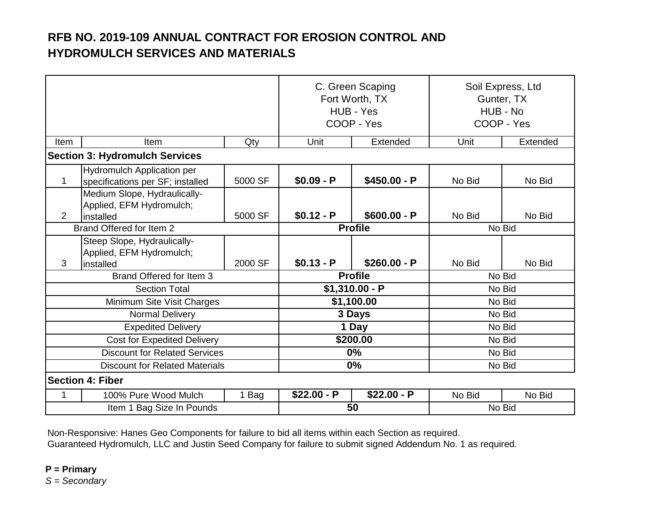|                                        |                                                                       | C. Green Scaping<br>Fort Worth, TX<br>HUB - Yes<br>COOP - Yes |                                 | Soil Express, Ltd<br>Gunter, TX<br>HUB - No<br>COOP - Yes |                  |          |
|----------------------------------------|-----------------------------------------------------------------------|---------------------------------------------------------------|---------------------------------|-----------------------------------------------------------|------------------|----------|
| Item                                   | Item                                                                  | Qty                                                           | Unit                            | Extended                                                  | Unit             | Extended |
|                                        | <b>Section 3: Hydromulch Services</b>                                 |                                                               |                                 |                                                           |                  |          |
| 1                                      | <b>Hydromulch Application per</b><br>specifications per SF; installed | 5000 SF                                                       | $$0.09 - P$                     | $$450.00 - P$                                             | No Bid           | No Bid   |
|                                        | Medium Slope, Hydraulically-<br>Applied, EFM Hydromulch;              |                                                               |                                 |                                                           |                  |          |
| 5000 SF<br>$\overline{2}$<br>installed |                                                                       | $$0.12 - P$                                                   | $$600.00 - P$<br><b>Profile</b> | No Bid                                                    | No Bid<br>No Bid |          |
| Brand Offered for Item 2               |                                                                       |                                                               |                                 |                                                           |                  |          |
|                                        | Steep Slope, Hydraulically-<br>Applied, EFM Hydromulch;               |                                                               |                                 |                                                           |                  |          |
| 3                                      | installed                                                             | 2000 SF                                                       | $$0.13 - P$                     | $$260.00 - P$                                             | No Bid           | No Bid   |
|                                        | Brand Offered for Item 3                                              |                                                               | <b>Profile</b>                  |                                                           | No Bid           |          |
|                                        | <b>Section Total</b>                                                  |                                                               | $$1,310.00 - P$                 |                                                           | No Bid           |          |
|                                        | Minimum Site Visit Charges                                            |                                                               |                                 | \$1,100.00                                                | No Bid           |          |
|                                        | Normal Delivery                                                       |                                                               |                                 | 3 Days                                                    |                  | No Bid   |
|                                        | <b>Expedited Delivery</b>                                             |                                                               |                                 | 1 Day                                                     |                  | No Bid   |
|                                        | <b>Cost for Expedited Delivery</b>                                    |                                                               |                                 | \$200.00                                                  |                  | No Bid   |
|                                        | <b>Discount for Related Services</b>                                  |                                                               |                                 | $0\%$                                                     |                  | No Bid   |
|                                        | <b>Discount for Related Materials</b>                                 |                                                               | 0%                              |                                                           | No Bid           |          |
|                                        | <b>Section 4: Fiber</b>                                               |                                                               |                                 |                                                           |                  |          |
| 1                                      | 100% Pure Wood Mulch                                                  | 1 Bag                                                         | $$22.00 - P$                    | $$22.00 - P$                                              | No Bid           | No Bid   |
|                                        | Item 1 Bag Size In Pounds                                             |                                                               | 50                              |                                                           | No Bid           |          |

Non-Responsive: Hanes Geo Components for failure to bid all items within each Section as required. Guaranteed Hydromulch, LLC and Justin Seed Company for failure to submit signed Addendum No. 1 as required.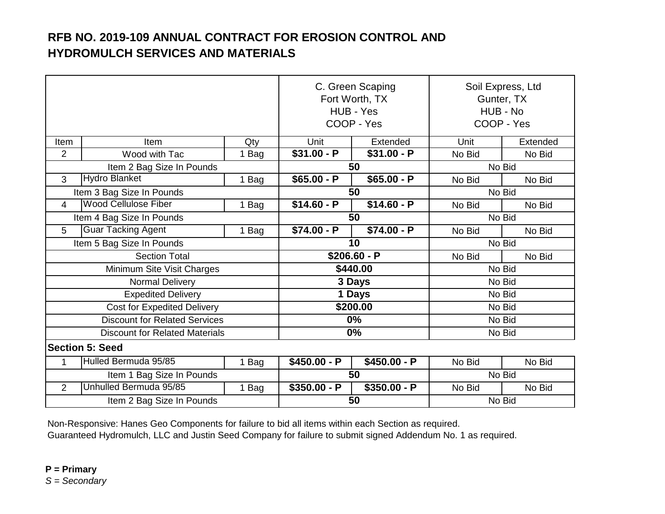|                           |                                       |       | C. Green Scaping<br>Fort Worth, TX<br>HUB - Yes<br>COOP - Yes |               | Soil Express, Ltd<br>Gunter, TX<br>HUB - No<br>COOP - Yes |          |  |
|---------------------------|---------------------------------------|-------|---------------------------------------------------------------|---------------|-----------------------------------------------------------|----------|--|
| Item                      | Item                                  | Qty   | Unit                                                          | Extended      | Unit                                                      | Extended |  |
| $\overline{2}$            | Wood with Tac                         | 1 Bag | $$31.00 - P$                                                  | $$31.00 - P$  | No Bid                                                    | No Bid   |  |
|                           | Item 2 Bag Size In Pounds             |       |                                                               | 50            |                                                           | No Bid   |  |
| 3                         | <b>Hydro Blanket</b>                  | 1 Bag | $$65.00 - P$                                                  | $$65.00 - P$  | No Bid                                                    | No Bid   |  |
|                           | Item 3 Bag Size In Pounds             |       |                                                               | 50            |                                                           | No Bid   |  |
| $\overline{4}$            | <b>Wood Cellulose Fiber</b>           | 1 Bag | $$14.60 - P$                                                  | $$14.60 - P$  | No Bid                                                    | No Bid   |  |
| Item 4 Bag Size In Pounds |                                       | 50    |                                                               | No Bid        |                                                           |          |  |
| 5                         | <b>Guar Tacking Agent</b>             | 1 Bag | $$74.00 - P$                                                  | $$74.00 - P$  | No Bid                                                    | No Bid   |  |
| Item 5 Bag Size In Pounds |                                       |       | 10                                                            |               | No Bid                                                    |          |  |
|                           | <b>Section Total</b>                  |       |                                                               | $$206.60 - P$ | No Bid                                                    | No Bid   |  |
|                           | Minimum Site Visit Charges            |       | \$440.00                                                      |               | No Bid                                                    |          |  |
|                           | Normal Delivery                       |       | 3 Days                                                        |               | No Bid                                                    |          |  |
|                           | <b>Expedited Delivery</b>             |       | 1 Days                                                        |               | No Bid                                                    |          |  |
|                           | <b>Cost for Expedited Delivery</b>    |       |                                                               | \$200.00      | No Bid                                                    |          |  |
|                           | <b>Discount for Related Services</b>  |       |                                                               | $0\%$         |                                                           | No Bid   |  |
|                           | <b>Discount for Related Materials</b> |       |                                                               | $0\%$         |                                                           | No Bid   |  |
|                           | <b>Section 5: Seed</b>                |       |                                                               |               |                                                           |          |  |
| 1                         | Hulled Bermuda 95/85                  | 1 Bag | $$450.00 - P$                                                 | $$450.00 - P$ | No Bid                                                    | No Bid   |  |
|                           | Item 1 Bag Size In Pounds             |       |                                                               | 50            |                                                           | No Bid   |  |
| 2                         | Unhulled Bermuda 95/85                | 1 Bag | $$350.00 - P$                                                 | $$350.00 - P$ | No Bid                                                    | No Bid   |  |
|                           | Item 2 Bag Size In Pounds             |       |                                                               | 50            |                                                           | No Bid   |  |

Non-Responsive: Hanes Geo Components for failure to bid all items within each Section as required. Guaranteed Hydromulch, LLC and Justin Seed Company for failure to submit signed Addendum No. 1 as required.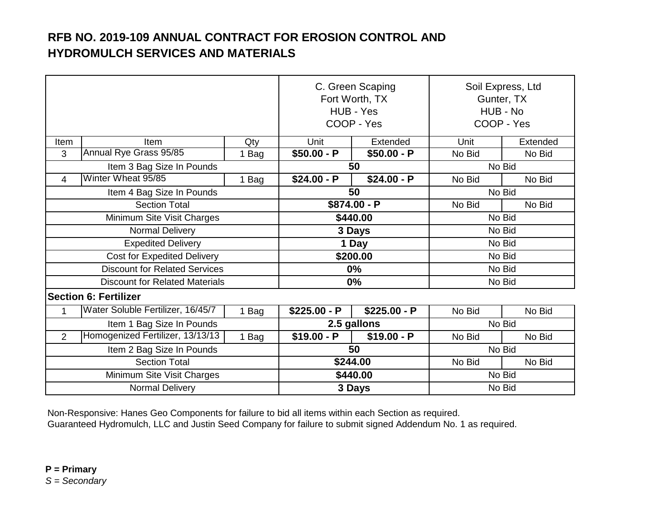|                            |                                       | C. Green Scaping<br>Fort Worth, TX<br>HUB - Yes<br>COOP - Yes |               | Soil Express, Ltd<br>Gunter, TX<br>HUB - No<br>COOP - Yes |        |          |  |
|----------------------------|---------------------------------------|---------------------------------------------------------------|---------------|-----------------------------------------------------------|--------|----------|--|
| Item                       | <b>Item</b>                           | Qty                                                           | Unit          | Extended                                                  | Unit   | Extended |  |
| 3                          | Annual Rye Grass 95/85                | 1 Bag                                                         | $$50.00 - P$  | $$50.00 - P$                                              | No Bid | No Bid   |  |
|                            | Item 3 Bag Size In Pounds             |                                                               |               | 50                                                        |        | No Bid   |  |
| 4                          | Winter Wheat 95/85                    | 1 Bag                                                         | $$24.00 - P$  | $$24.00 - P$                                              | No Bid | No Bid   |  |
| Item 4 Bag Size In Pounds  |                                       |                                                               | 50            |                                                           | No Bid |          |  |
| <b>Section Total</b>       |                                       | $$874.00 - P$                                                 |               | No Bid                                                    | No Bid |          |  |
| Minimum Site Visit Charges |                                       |                                                               | \$440.00      |                                                           | No Bid |          |  |
| Normal Delivery            |                                       |                                                               | 3 Days        |                                                           | No Bid |          |  |
|                            | <b>Expedited Delivery</b>             |                                                               |               | 1 Day                                                     |        | No Bid   |  |
|                            | <b>Cost for Expedited Delivery</b>    |                                                               | \$200.00      |                                                           | No Bid |          |  |
|                            | <b>Discount for Related Services</b>  |                                                               | $0\%$         |                                                           | No Bid |          |  |
|                            | <b>Discount for Related Materials</b> |                                                               |               | 0%                                                        | No Bid |          |  |
|                            | <b>Section 6: Fertilizer</b>          |                                                               |               |                                                           |        |          |  |
| $\mathbf{1}$               | Water Soluble Fertilizer, 16/45/7     | 1 Bag                                                         | $$225.00 - P$ | $$225.00 - P$                                             | No Bid | No Bid   |  |
|                            | Item 1 Bag Size In Pounds             |                                                               |               | 2.5 gallons                                               |        | No Bid   |  |
| 2                          | Homogenized Fertilizer, 13/13/13      | 1 Bag                                                         | $$19.00 - P$  | $$19.00 - P$                                              | No Bid | No Bid   |  |
|                            | Item 2 Bag Size In Pounds             |                                                               |               | 50                                                        |        | No Bid   |  |
|                            | <b>Section Total</b>                  |                                                               |               | \$244.00                                                  | No Bid | No Bid   |  |
|                            | Minimum Site Visit Charges            |                                                               | \$440.00      |                                                           | No Bid |          |  |
|                            | Normal Delivery                       |                                                               |               | 3 Days                                                    |        | No Bid   |  |

Guaranteed Hydromulch, LLC and Justin Seed Company for failure to submit signed Addendum No. 1 as required. Non-Responsive: Hanes Geo Components for failure to bid all items within each Section as required.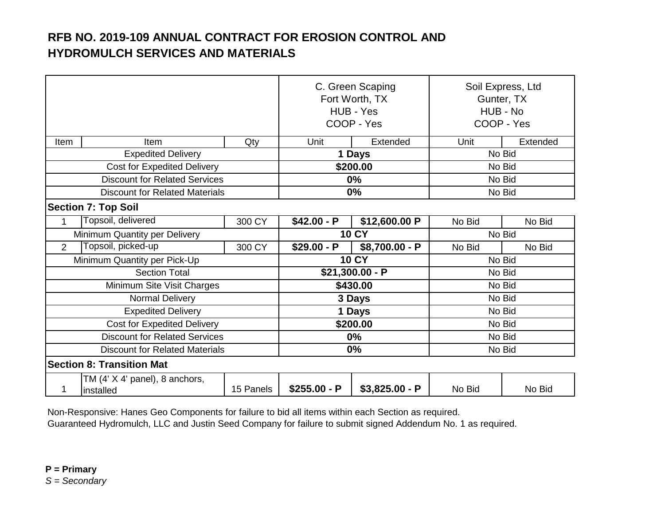|                                       |                                             | C. Green Scaping<br>Fort Worth, TX<br>HUB - Yes<br>COOP - Yes |                  | Soil Express, Ltd<br>Gunter, TX<br>HUB - No<br>COOP - Yes |        |          |
|---------------------------------------|---------------------------------------------|---------------------------------------------------------------|------------------|-----------------------------------------------------------|--------|----------|
| Item                                  | Item                                        | Qty                                                           | Unit             | Extended                                                  | Unit   | Extended |
|                                       | <b>Expedited Delivery</b>                   |                                                               |                  | 1 Days                                                    |        | No Bid   |
|                                       | <b>Cost for Expedited Delivery</b>          |                                                               |                  | \$200.00                                                  |        | No Bid   |
| <b>Discount for Related Services</b>  |                                             |                                                               | 0%               |                                                           | No Bid |          |
| <b>Discount for Related Materials</b> |                                             |                                                               | 0%               |                                                           | No Bid |          |
|                                       | <b>Section 7: Top Soil</b>                  |                                                               |                  |                                                           |        |          |
| 1                                     | Topsoil, delivered                          | 300 CY                                                        | $$42.00 - P$     | \$12,600.00 P                                             | No Bid | No Bid   |
| Minimum Quantity per Delivery         |                                             |                                                               | <b>10 CY</b>     |                                                           | No Bid |          |
| 2                                     | Topsoil, picked-up                          | 300 CY                                                        | $$29.00 - P$     | \$8,700.00 - P                                            | No Bid | No Bid   |
|                                       | Minimum Quantity per Pick-Up                |                                                               | <b>10 CY</b>     |                                                           | No Bid |          |
|                                       | <b>Section Total</b>                        |                                                               | $$21,300.00 - P$ |                                                           | No Bid |          |
|                                       | Minimum Site Visit Charges                  |                                                               | \$430.00         |                                                           |        | No Bid   |
|                                       | Normal Delivery                             |                                                               |                  | 3 Days                                                    |        | No Bid   |
|                                       | <b>Expedited Delivery</b>                   |                                                               |                  | 1 Days                                                    |        | No Bid   |
|                                       | <b>Cost for Expedited Delivery</b>          |                                                               |                  | \$200.00                                                  |        | No Bid   |
|                                       | <b>Discount for Related Services</b>        |                                                               |                  | 0%                                                        |        | No Bid   |
|                                       | <b>Discount for Related Materials</b>       |                                                               |                  | 0%                                                        |        | No Bid   |
|                                       | <b>Section 8: Transition Mat</b>            |                                                               |                  |                                                           |        |          |
| 1                                     | TM (4' X 4' panel), 8 anchors,<br>installed | 15 Panels                                                     | $$255.00 - P$    | $$3,825.00 - P$                                           | No Bid | No Bid   |

Non-Responsive: Hanes Geo Components for failure to bid all items within each Section as required. Guaranteed Hydromulch, LLC and Justin Seed Company for failure to submit signed Addendum No. 1 as required.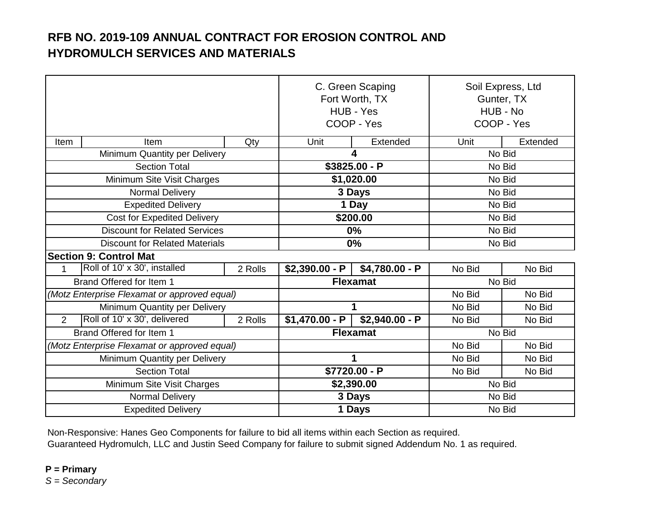|                                              |         | C. Green Scaping<br>Fort Worth, TX<br>HUB - Yes<br>COOP - Yes |                 | Soil Express, Ltd<br>Gunter, TX<br>HUB - No<br>COOP - Yes |          |
|----------------------------------------------|---------|---------------------------------------------------------------|-----------------|-----------------------------------------------------------|----------|
| Item<br>Item                                 | Qty     | Unit                                                          | Extended        | Unit                                                      | Extended |
| Minimum Quantity per Delivery                |         | 4                                                             |                 | No Bid                                                    |          |
| <b>Section Total</b>                         |         | \$3825.00 - P                                                 |                 | No Bid                                                    |          |
| Minimum Site Visit Charges                   |         | \$1,020.00                                                    |                 | No Bid                                                    |          |
| <b>Normal Delivery</b>                       |         | 3 Days                                                        |                 | No Bid                                                    |          |
| <b>Expedited Delivery</b>                    |         | 1 Day                                                         |                 | No Bid                                                    |          |
| <b>Cost for Expedited Delivery</b>           |         | \$200.00                                                      |                 | No Bid                                                    |          |
| <b>Discount for Related Services</b>         |         | 0%                                                            |                 | No Bid                                                    |          |
| <b>Discount for Related Materials</b>        |         | 0%                                                            |                 | No Bid                                                    |          |
| <b>Section 9: Control Mat</b>                |         |                                                               |                 |                                                           |          |
| Roll of 10' x 30', installed<br>1            | 2 Rolls | $$2,390.00 - P$                                               | $$4,780.00 - P$ | No Bid                                                    | No Bid   |
| Brand Offered for Item 1                     |         | <b>Flexamat</b>                                               |                 | No Bid                                                    |          |
| (Motz Enterprise Flexamat or approved equal) |         |                                                               |                 | No Bid                                                    | No Bid   |
| Minimum Quantity per Delivery                |         |                                                               | 1               | No Bid                                                    | No Bid   |
| Roll of 10' x 30', delivered<br>2            | 2 Rolls | $$1,470.00 - P$                                               | $$2,940.00 - P$ | No Bid                                                    | No Bid   |
| Brand Offered for Item 1                     |         | <b>Flexamat</b>                                               |                 | No Bid                                                    |          |
| (Motz Enterprise Flexamat or approved equal) |         |                                                               |                 | No Bid                                                    | No Bid   |
| Minimum Quantity per Delivery                |         | 1                                                             |                 | No Bid                                                    | No Bid   |
| <b>Section Total</b>                         |         | \$7720.00 - P                                                 |                 | No Bid                                                    | No Bid   |
| Minimum Site Visit Charges                   |         | \$2,390.00                                                    |                 | No Bid                                                    |          |
| Normal Delivery                              |         | 3 Days                                                        |                 | No Bid                                                    |          |
| <b>Expedited Delivery</b>                    |         | 1 Days                                                        |                 | No Bid                                                    |          |

Non-Responsive: Hanes Geo Components for failure to bid all items within each Section as required.

Guaranteed Hydromulch, LLC and Justin Seed Company for failure to submit signed Addendum No. 1 as required.